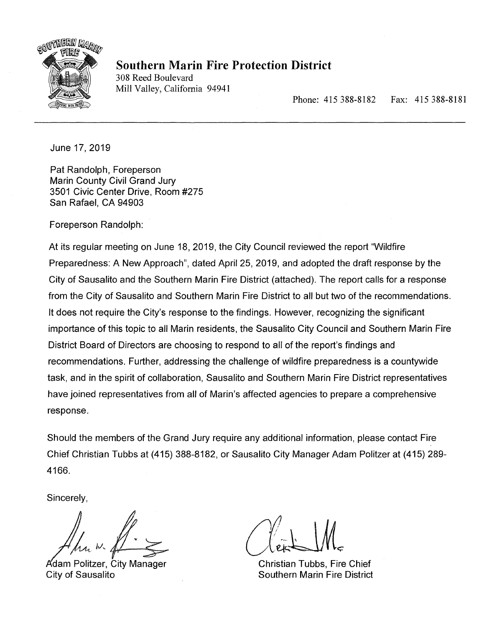

# **Southern Marin Fire Protection District**

308 Reed Boulevard Mill Valley, California 94941

Phone: 415 388-8182 Fax: 415 388-8181

June 17, 2019

Pat Randolph, Foreperson Marin County Civil Grand Jury 3501 Civic Center Drive, Room #275 San Rafael, CA 94903

Foreperson Randolph:

At its regular meeting on June 18, 2019, the City Council reviewed the report "Wildfire Preparedness: A New Approach", dated April 25, 2019, and adopted the draft response by the City of Sausalito and the Southern Marin Fire District (attached). The report calls for a response from the City of Sausalito and Southern Marin Fire District to all but two of the recommendations. It does not require the City's response to the findings. However, recognizing the significant importance of this topic to all Marin residents, the Sausalito City Council and Southern Marin Fire District Board of Directors are choosing to respond to all of the report's findings and recommendations. Further, addressing the challenge of wildfire preparedness is a countywide task, and in the spirit of collaboration, Sausalito and Southern Marin Fire District representatives have joined representatives from all of Marin's affected agencies to prepare a comprehensive response.

Should the members of the Grand Jury require any additional information, please contact Fire Chief Christian Tubbs at (415) 388-8182, or Sausalito City Manager Adam Politzer at (415) 289- 4166.

Sincerely,

Adam Politzer, City Manager City of Sausalito

Christian Tubbs, Fire Chief **Southern Marin Fire District**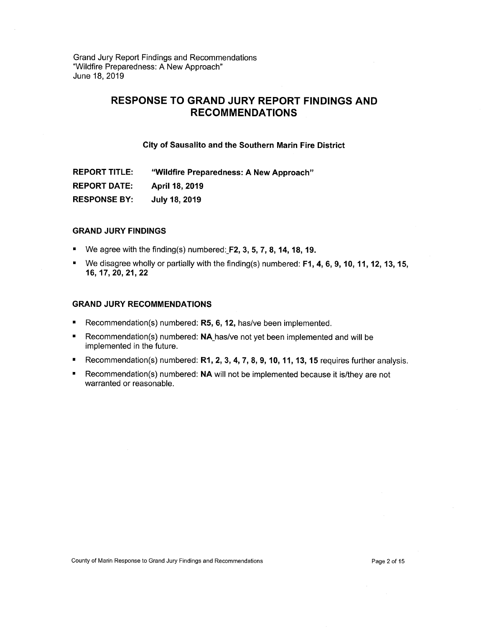# **RESPONSE TO GRAND JURY REPORT FINDINGS AND RECOMMENDATIONS**

## **City of Sausalito and the Southern Marin Fire District**

**REPORT TITLE: "Wildfire Preparedness: A New Approach" REPORT DATE: April 18, 2019 RESPONSE BY: July 18, 2019** 

# **GRAND JURY FINDINGS**

- We agree with the finding(s) numbered: F2, **3, 5, 7, 8, 14, 18, 19.**
- We disagree wholly or partially with the finding(s) numbered: **F1, 4, 6, 9, 10, 11, 12, 13, 15, 16, 17, 20, 21, 22**

## **GRAND JURY RECOMMENDATIONS**

- Recommendation(s) numbered: **R5, 6, 12,** has/ye been implemented.  $\blacksquare$
- **•** Recommendation(s) numbered: **NA** has/ve not yet been implemented and will be implemented in the future.
- Recommendation(s) numbered: **R1, 2, 3, 4, 7, 8, 9, 10, 11, 13, 15** requires further analysis.
- Recommendation(s) numbered: **NA** will not be implemented because it is/they are not warranted or reasonable.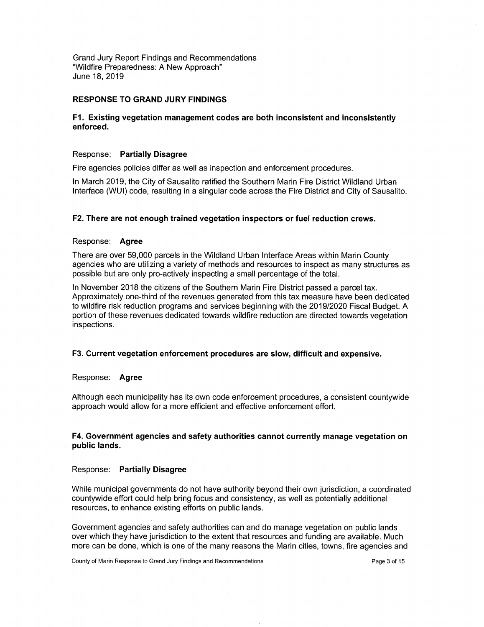## **RESPONSE TO GRAND JURY FINDINGS**

# **Ft Existing vegetation management codes are both inconsistent and inconsistently enforced.**

# Response: **Partially Disagree**

Fire agencies policies differ as well as inspection and enforcement procedures.

In March 2019, the City of Sausalito ratified the Southern Marin Fire District Wildland Urban Interface (WUI) code, resulting in a singular code across the Fire District and City of Sausalito.

## **F2. There are not enough trained vegetation inspectors or fuel reduction crews.**

## Response: **Agree**

There are over 59,000 parcels in the Wildland Urban Interface Areas within Marin County agencies who are utilizing a variety of methods and resources to inspect as many structures as possible but are only pro-actively inspecting a small percentage of the total.

In November 2018 the citizens of the Southern Marin Fire District passed a parcel tax. Approximately one-third of the revenues generated from this tax measure have been dedicated to wildfire risk reduction programs and services beginning with the 2019/2020 Fiscal Budget. A portion of these revenues dedicated towards wildfire reduction are directed towards vegetation inspections.

#### **F3. Current vegetation enforcement procedures are slow, difficult and expensive.**

#### Response: **Agree**

Although each municipality has its own code enforcement procedures, a consistent countywide approach would allow for a more efficient and effective enforcement effort.

## **F4. Government agencies and safety authorities cannot currently manage vegetation on public lands.**

#### Response: **Partially Disagree**

While municipal governments do not have authority beyond their own jurisdiction, a coordinated countywide effort could help bring focus and consistency, as well as potentially additional resources, to enhance existing efforts on public lands.

Government agencies and safety authorities can and do manage vegetation on public lands over which they have jurisdiction to the extent that resources and funding are available. Much more can be done, which is one of the many reasons the Marin cities, towns, fire agencies and

 $\bar{\gamma}$ 

County of Marin Response to Grand Jury Findings and Recommendations **Page 3** of 15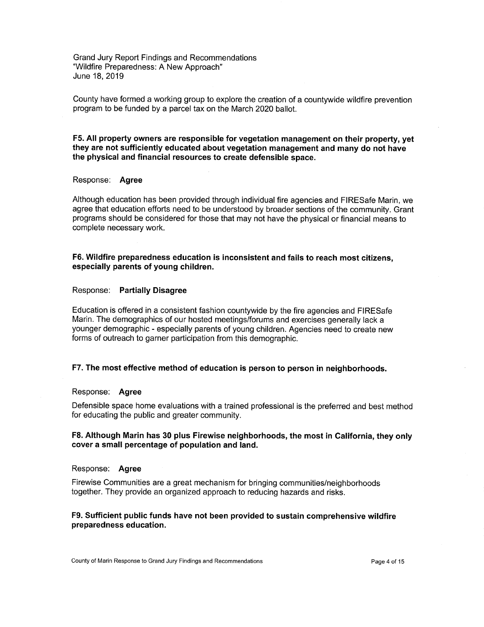County have formed a working group to explore the creation of a countywide wildfire prevention program to be funded by a parcel tax on the March 2020 ballot.

**F5. All property owners are responsible for vegetation management on their property, yet they are not sufficiently educated about vegetation management and many do not have the physical and financial resources to create defensible space.** 

# Response: **Agree**

Although education has been provided through individual fire agencies and FIRESafe Marin, we agree that education efforts need to be understood by broader sections of the community. Grant programs should be considered for those that may not have the physical or financial means to complete necessary work.

# **F6. Wildfire preparedness education is inconsistent and fails to reach most citizens, especially parents of young children.**

#### Response: **Partially Disagree**

Education is offered in a consistent fashion countywide by the fire agencies and FIRESafe Marin. The demographics of our hosted meetings/forums and exercises generally lack a younger demographic - especially parents of young children. Agencies need to create new forms of outreach to garner participation from this demographic.

# **F7. The most effective method of education is person to person in neighborhoods.**

#### Response: **Agree**

Defensible space home evaluations with a trained professional is the preferred and best method for educating the public and greater community.

## F8. Although Marin has 30 plus Firewise neighborhoods, the most in California, they only **cover a small percentage of population and land.**

#### Response: **Agree**

Firewise Communities are a great mechanism for bringing communities/neighborhoods together. They provide an organized approach to reducing hazards and risks.

# **F9. Sufficient public funds have not been provided to sustain comprehensive wildfire preparedness education.**

County of Marin Response to Grand Jury Findings and Recommendations example and response to the Page 4 of 15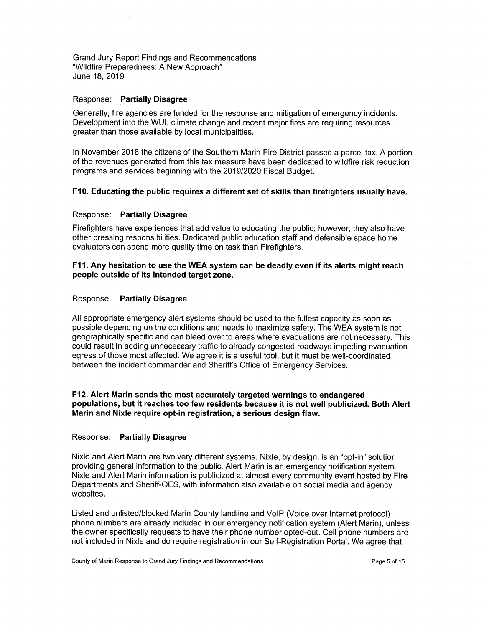#### Response: **Partially Disagree**

Generally, fire agencies are funded for the response and mitigation of emergency incidents. Development into the WUI, climate change and recent major fires are requiring resources greater than those available by local municipalities.

In November 2018 the citizens of the Southern Marin Fire District passed a parcel tax. A portion of the revenues generated from this tax measure have been dedicated to wildfire risk reduction programs and services beginning with the 2019/2020 Fiscal Budget.

# **F10. Educating the public requires a different set of skills than firefighters usually have.**

## Response: **Partially Disagree**

Firefighters have experiences that add value to educating the public; however, they also have other pressing responsibilities. Dedicated public education staff and defensible space home evaluators can spend more quality time on task than Firefighters.

# **F11. Any hesitation to use the WEA system can be deadly even if its alerts might reach people outside of its intended target zone.**

## Response: **Partially Disagree**

All appropriate emergency alert systems should be used to the fullest capacity as soon as possible depending on the conditions and needs to maximize safety. The WEA system is not geographically specific and can bleed over to areas where evacuations are not necessary. This could result in adding unnecessary traffic to already congested roadways impeding evacuation egress of those most affected. We agree it is a useful tool, but it must be well-coordinated between the incident commander and Sheriff's Office of Emergency Services.

# **F12. Alert Marin sends the most accurately targeted warnings to endangered populations, but it reaches too few residents because it is not well publicized. Both Alert Marin and Nixle require opt-in registration, a serious design flaw.**

#### Response: **Partially Disagree**

Nixle and Alert Marin are two very different systems. Nixle, by design, is an "opt-in" solution providing general information to the public. Alert Marin is an emergency notification system. Nixle and Alert Marin information is publicized at almost every community event hosted by Fire Departments and Sheriff-OES, with information also available on social media and agency websites.

Listed and unlisted/blocked Marin County landline and VoIP (Voice over Internet protocol) phone numbers are already included in our emergency notification system (Alert Mann), unless the owner specifically requests to have their phone number opted-out. Cell phone numbers are not included in Nixie and do require registration in our Self-Registration Portal. We agree that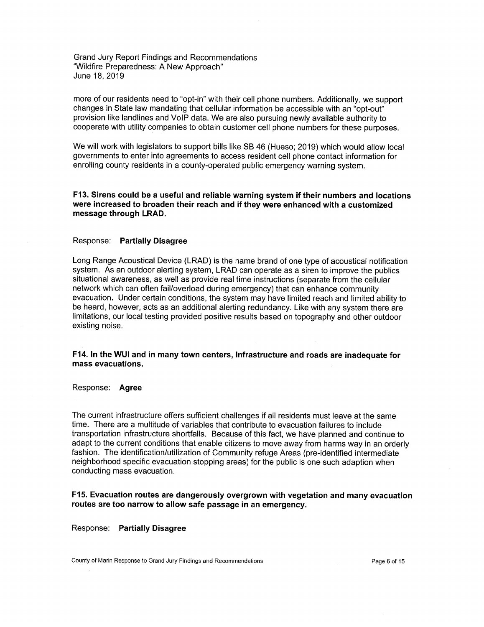more of our residents need to "opt-in" with their cell phone numbers. Additionally, we support changes in State law mandating that cellular information be accessible with an "opt-out" provision like landlines and VolP data. We are also pursuing newly available authority to cooperate with utility companies to obtain customer cell phone numbers for these purposes.

We will work with legislators to support bills like SB 46 (Hueso; 2019) which would allow local governments to enter into agreements to access resident cell phone contact information for enrolling county residents in a county-operated public emergency warning system.

**F13. Sirens could be a useful and reliable warning system if their numbers and locations were increased to broaden their reach and if they were enhanced with a customized message through LRAD.** 

## Response: **Partially Disagree**

Long Range Acoustical Device (LRAD) is the name brand of one type of acoustical notification system. As an outdoor alerting system, LRAD can operate as a siren to improve the publics situational awareness, as well as provide real time instructions (separate from the cellular network which can often fail/overload during emergency) that can enhance community evacuation. Under certain conditions, the system may have limited reach and limited ability to be heard, however, acts as an additional alerting redundancy. Like with any system there are limitations, our local testing provided positive results based on topography and other outdoor existing noise.

**F14. In the WUI and in many town centers, infrastructure and roads are inadequate for mass evacuations.** 

Response: **Agree** 

The current infrastructure offers sufficient challenges if all residents must leave at the same time. There are a multitude of variables that contribute to evacuation failures to include transportation infrastructure shortfalls. Because of this fact, we have planned and continue to adapt to the current conditions that enable citizens to move away from harms way in an orderly fashion. The identification/utilization of Community refuge Areas (pre-identified intermediate neighborhood specific evacuation stopping areas) for the public is one such adaption when conducting mass evacuation.

**F15. Evacuation routes are dangerously overgrown with vegetation and many evacuation routes are too narrow to allow safe passage in an emergency.** 

Response: **Partially Disagree** 

County of Marin Response to Grand Jury Findings and Recommendations example and response to Page 6 of 15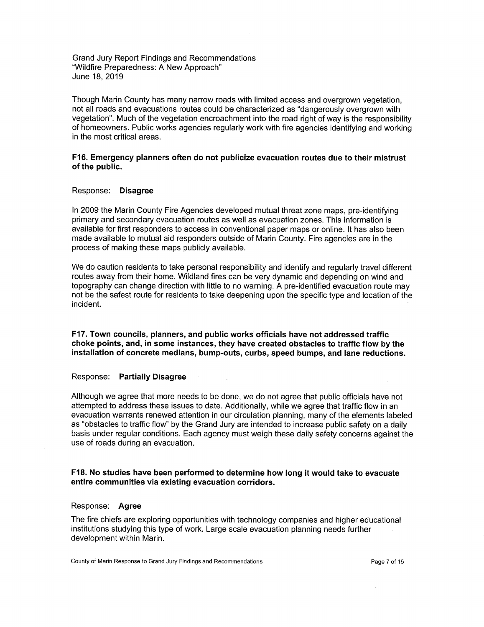Though Marin County has many narrow roads with limited access and overgrown vegetation, not all roads and evacuations routes could be characterized as "dangerously overgrown with vegetation". Much of the vegetation encroachment into the road right of way is the responsibility of homeowners. Public works agencies regularly work with fire agencies identifying and working in the most critical areas.

# **F16. Emergency planners often do not publicize evacuation routes due to their mistrust of the public.**

## Response: **Disagree**

In 2009 the Marin County Fire Agencies developed mutual threat zone maps, pre-identifying primary and secondary evacuation routes as well as evacuation zones. This information is available for first responders to access in conventional paper maps or online. It has also been made available to mutual aid responders outside of Mann County. Fire agencies are in the process of making these maps publicly available.

We do caution residents to take personal responsibility and identify and regularly travel different routes away from their home. Wildland fires can be very dynamic and depending on wind and topography can change direction with little to no warning. A pre-identified evacuation route may not be the safest route for residents to take deepening upon the specific type and location of the incident.

**F17. Town councils, planners, and public works officials have not addressed traffic choke points, and, in some instances, they have created obstacles to traffic flow by the installation of concrete medians, bump-outs, curbs, speed bumps, and lane reductions.** 

### Response: **Partially Disagree**

Although we agree that more needs to be done, we do not agree that public officials have not attempted to address these issues to date. Additionally, while we agree that traffic flow in an evacuation warrants renewed attention in our circulation planning, many of the elements labeled as "obstacles to traffic flow" by the Grand Jury are intended to increase public safety on a daily basis under regular conditions. Each agency must weigh these daily safety concerns against the use of roads during an evacuation.

# **F18. No studies have been performed to determine how long it would take to evacuate entire communities via existing evacuation corridors.**

### Response: **Agree**

The fire chiefs are exploring opportunities with technology companies and higher educational institutions studying this type of work. Large scale evacuation planning needs further development within Marin.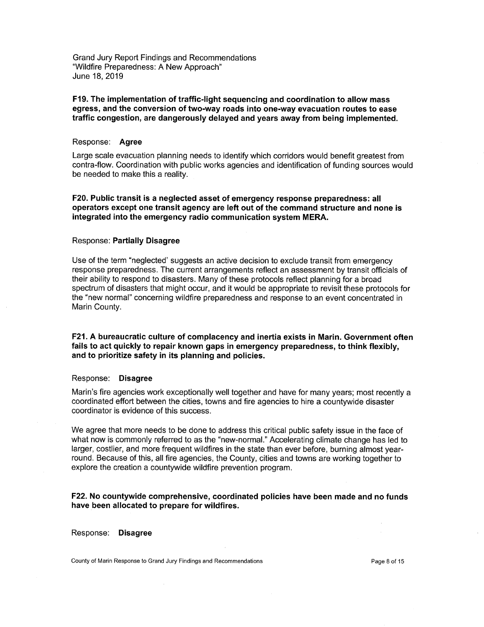# **F19. The implementation of traffic-light sequencing and coordination to allow mass egress, and the conversion of two-way roads into one-way evacuation routes to ease traffic congestion, are dangerously delayed and years away from being implemented.**

#### Response: **Agree**

Large scale evacuation planning needs to identify which corridors would benefit greatest from contra-flow. Coordination with public works agencies and identification of funding sources would be needed to make this a reality.

**F20. Public transit is a neglected asset of emergency response preparedness: all operators except one transit agency are left out of the command structure and none is integrated into the emergency radio communication system MERA.** 

## Response: **Partially Disagree**

Use of the term "neglected' suggests an active decision to exclude transit from emergency response preparedness. The current arrangements reflect an assessment by transit officials of their ability to respond to disasters. Many of these protocols reflect planning for a broad spectrum of disasters that might occur, and it would be appropriate to revisit these protocols for the "new normal" concerning wildfire preparedness and response to an event concentrated in Marin County.

**F21. A bureaucratic culture of complacency and inertia exists in Marin. Government often fails to act quickly to repair known gaps in emergency preparedness, to think flexibly, and to prioritize safety in its planning and policies.** 

#### Response: **Disagree**

Marin's fire agencies work exceptionally well together and have for many years; most recently a coordinated effort between the cities, towns and fire agencies to hire a countywide disaster coordinator is evidence of this success.

We agree that more needs to be done to address this critical public safety issue in the face of what now is commonly referred to as the "new-normal." Accelerating climate change has led to larger, costlier, and more frequent wildfires in the state than ever before, burning almost yearround. Because of this, all fire agencies, the County, cities and towns are working together to explore the creation a countywide wildfire prevention program.

**F22. No countywide comprehensive, coordinated policies have been made and no funds have been allocated to prepare for wildfires.** 

Response: **Disagree** 

County of Marin Response to Grand Jury Findings and Recommendations example and response to Page 8 of 15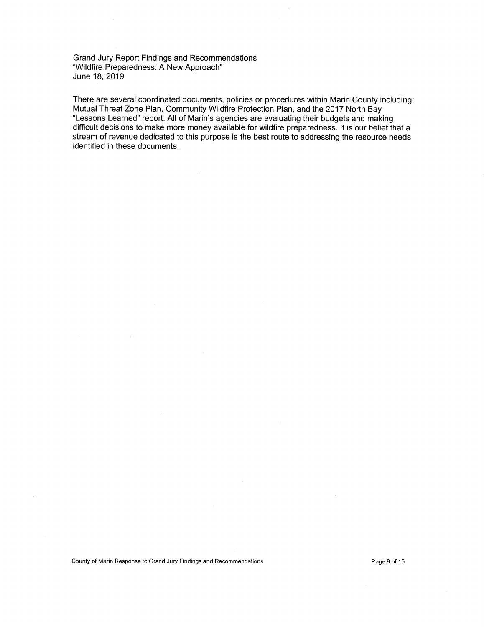There are several coordinated documents, policies or procedures within Marin County including: Mutual Threat Zone Plan, Community Wildfire Protection Plan, and the 2017 North Bay "Lessons Learned" report. All of Marin's agencies are evaluating their budgets and making difficult decisions to make more money available for wildfire preparedness. It is our belief that a stream of revenue dedicated to this purpose is the best route to addressing the resource needs identified in these documents.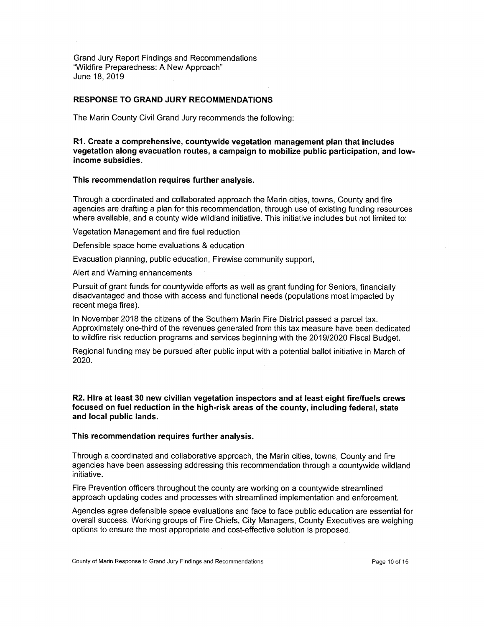# **RESPONSE TO GRAND JURY RECOMMENDATIONS**

The Marin County Civil Grand Jury recommends the following:

**Create a comprehensive, countywide vegetation management plan that includes vegetation along evacuation routes, a campaign to mobilize public participation, and lowincome subsidies.** 

## **This recommendation requires further analysis.**

Through a coordinated and collaborated approach the Marin cities, towns, County and fire agencies are drafting a plan for this recommendation, through use of existing funding resources where available, and a county wide wildland initiative. This initiative includes but not limited to:

Vegetation Management and fire fuel reduction

Defensible space home evaluations & education

Evacuation planning, public education, Firewise community support,

Alert and Warning enhancements

Pursuit of grant funds for countywide efforts as well as grant funding for Seniors, financially disadvantaged and those with access and functional needs (populations most impacted by recent mega fires).

In November 2018 the citizens of the Southern Marin Fire District passed a parcel tax. Approximately one-third of the revenues generated from this tax measure have been dedicated to wildfire risk reduction programs and services beginning with the 2019/2020 Fiscal Budget.

Regional funding may be pursued after public input with a potential ballot initiative in March of 2020.

**R2. Hire at least 30 new civilian vegetation inspectors and at least eight fire/fuels crews focused on fuel reduction in the high-risk areas of the county, including federal, state and local public lands.** 

#### **This recommendation requires further analysis.**

Through a coordinated and collaborative approach, the Marin cities, towns, County and fire agencies have been assessing addressing this recommendation through a countywide wildland initiative.

Fire Prevention officers throughout the county are working on a countywide streamlined approach updating codes and processes with streamlined implementation and enforcement.

Agencies agree defensible space evaluations and face to face public education are essential for overall success. Working groups of Fire Chiefs, City Managers, County Executives are weighing options to ensure the most appropriate and cost-effective solution is proposed.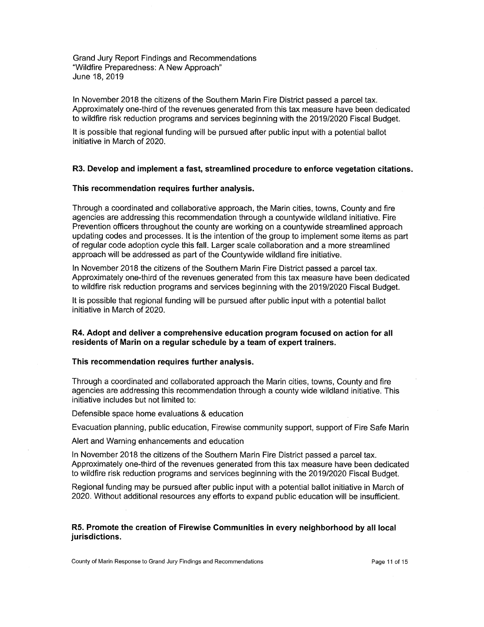In November 2018 the citizens of the Southern Marin Fire District passed a parcel tax. Approximately one-third of the revenues generated from this tax measure have been dedicated to wildfire risk reduction programs and services beginning with the 2019/2020 Fiscal Budget.

It is possible that regional funding will be pursued after public input with a potential ballot initiative in March of 2020.

## **R3. Develop and implement a fast, streamlined procedure to enforce vegetation citations.**

### **This recommendation requires further analysis.**

Through a coordinated and collaborative approach, the Marin cities, towns, County and fire agencies are addressing this recommendation through a countywide wildland initiative. Fire Prevention officers throughout the county are working on a countywide streamlined approach updating codes and processes. It is the intention of the group to implement some items as part of regular code adoption cycle this fall. Larger scale collaboration and a more streamlined approach will be addressed as part of the Countywide wildland fire initiative.

In November 2018 the citizens of the Southern Marin Fire District passed a parcel tax. Approximately one-third of the revenues generated from this tax measure have been dedicated to wildfire risk reduction programs and services beginning with the 2019/2020 Fiscal Budget.

It is possible that regional funding will be pursued after public input with a potential ballot initiative in March of 2020.

# **R4. Adopt and deliver a comprehensive education program focused on action for all**  residents of Marin on a regular schedule by a team of expert trainers.

## **This recommendation requires further analysis.**

Through a coordinated and collaborated approach the Marin cities, towns, County and fire agencies are addressing this recommendation through a county wide wildland initiative. This initiative includes but not limited to:

Defensible space home evaluations & education

Evacuation planning, public education, Firewise community support, support of Fire Safe Mann

Alert and Warning enhancements and education

In November 2018 the citizens of the Southern Marin Fire District passed a parcel tax. Approximately one-third of the revenues generated from this tax measure have been dedicated to wildfire risk reduction programs and services beginning with the 2019/2020 Fiscal Budget.

Regional funding may be pursued after public input with a potential ballot initiative in March of 2020. Without additional resources any efforts to expand public education will be insufficient.

## **R5. Promote the creation of Firewise Communities in every neighborhood by all local jurisdictions.**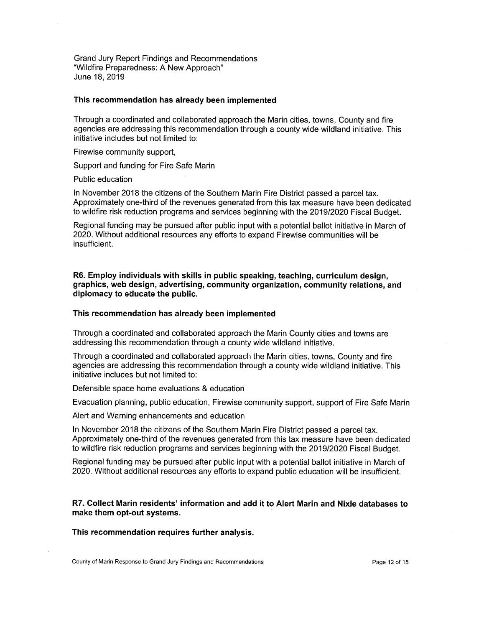## **This recommendation has already been implemented**

Through a coordinated and collaborated approach the Marin cities, towns, County and fire agencies are addressing this recommendation through a county wide wildland initiative. This initiative includes but not limited to:

Firewise community support,

Support and funding for Fire Safe Marin

Public education

In November 2018 the citizens of the Southern Marin Fire District passed a parcel tax. Approximately one-third of the revenues generated from this tax measure have been dedicated to wildfire risk reduction programs and services beginning with the 2019/2020 Fiscal Budget.

Regional funding may be pursued after public input with a potential ballot initiative in March of 2020. Without additional resources any efforts to expand Firewise communities will be insufficient.

**R6. Employ individuals with skills in public speaking, teaching, curriculum design, graphics, web design, advertising, community organization, community relations, and diplomacy to educate the public.** 

## **This recommendation has already been implemented**

Through a coordinated and collaborated approach the Marin County cities and towns are addressing this recommendation through a county wide wildland initiative.

Through a coordinated and collaborated approach the Marin cities, towns, County and fire agencies are addressing this recommendation through a county wide wildland initiative. This initiative includes but not limited to:

Defensible space home evaluations & education

Evacuation planning, public education, Firewise community support, support of Fire Safe Marin

Alert and Warning enhancements and education

In November 2018 the citizens of the Southern Marin Fire District passed a parcel tax. Approximately one-third of the revenues generated from this tax measure have been dedicated to wildfire risk reduction programs and services beginning with the 2019/2020 Fiscal Budget.

Regional funding may be pursued after public input with a potential ballot initiative in March of 2020. Without additional resources any efforts to expand public education will be insufficient.

**R7. Collect Marin residents' information and add it to Alert Marin and Nixle databases to make them opt-out systems.** 

**This recommendation requires further analysis.** 

County of Marin Response to Grand Jury Findings and Recommendations example 12 of 15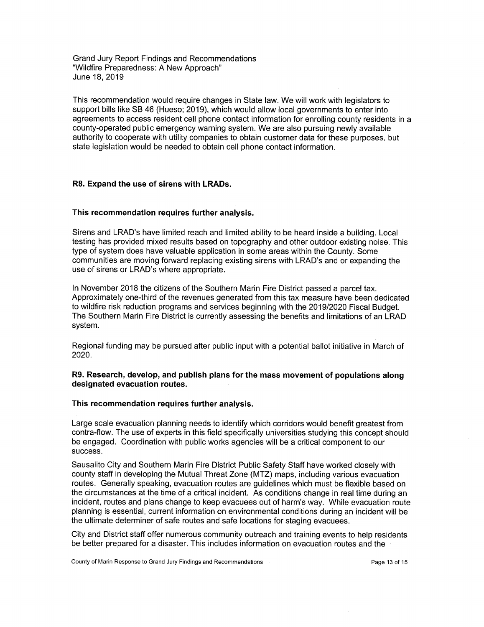This recommendation would require changes in State law. We will work with legislators to support bills like SB 46 (Hueso; 2019), which would allow local governments to enter into agreements to access resident cell phone contact information for enrolling county residents in a county-operated public emergency warning system. We are also pursuing newly available authority to cooperate with utility companies to obtain customer data for these purposes, but state legislation would be needed to obtain cell phone contact information.

## **R8. Expand the use of sirens with LRADs.**

## **This recommendation requires further analysis.**

Sirens and LRAD's have limited reach and limited ability to be heard inside a building. Local testing has provided mixed results based on topography and other outdoor existing noise. This type of system does have valuable application in some areas within the County. Some communities are moving forward replacing existing sirens with LRAD's and or expanding the use of sirens or LRAD's where appropriate.

In November 2018 the citizens of the Southern Marin Fire District passed a parcel tax. Approximately one-third of the revenues generated from this tax measure have been dedicated to wildfire risk reduction programs and services beginning with the 2019/2020 Fiscal Budget. The Southern Mann Fire District is currently assessing the benefits and limitations of an LRAD system.

Regional funding may be pursued after public input with a potential ballot initiative in March of 2020.

# **R9. Research, develop, and publish plans for the mass movement of populations along designated evacuation routes.**

# **This recommendation requires further analysis.**

Large scale evacuation planning needs to identify which corridors would benefit greatest from contra-flow. The use of experts in this field specifically universities studying this concept should be engaged. Coordination with public works agencies will be a critical component to our success.

Sausalito City and Southern Marin Fire District Public Safety Staff have worked closely with county staff in developing the Mutual Threat Zone (MTZ) maps, including various evacuation routes. Generally speaking, evacuation routes are guidelines which must be flexible based on the circumstances at the time of a critical incident. As conditions change in real time during an incident, routes and plans change to keep evacuees out of harm's way. While evacuation route planning is essential, current information on environmental conditions during an incident will be the ultimate determiner of safe routes and safe locations for staging evacuees.

City and District staff offer numerous community outreach and training events to help residents be better prepared for a disaster. This includes information on evacuation routes and the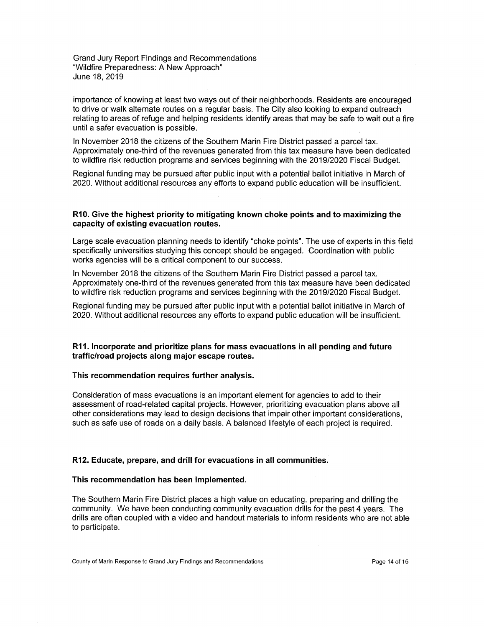importance of knowing at least two ways out of their neighborhoods. Residents are encouraged to drive or walk alternate routes on a regular basis. The City also looking to expand outreach relating to areas of refuge and helping residents identify areas that may be safe to wait out a fire until a safer evacuation is possible.

In November 2018 the citizens of the Southern Marin Fire District passed a parcel tax. Approximately one-third of the revenues generated from this tax measure have been dedicated to wildfire risk reduction programs and services beginning with the 2019/2020 Fiscal Budget.

Regional funding may be pursued after public input with a potential ballot initiative in March of 2020. Without additional resources any efforts to expand public education will be insufficient.

# **R10. Give the highest priority to mitigating known choke points and to maximizing the capacity of existing evacuation routes.**

Large scale evacuation planning needs to identify "choke points". The use of experts in this field specifically universities studying this concept should be engaged. Coordination with public works agencies will be a critical component to our success.

In November 2018 the citizens of the Southern Marin Fire District passed a parcel tax. Approximately one-third of the revenues generated from this tax measure have been dedicated to wildfire risk reduction programs and services beginning with the 2019/2020 Fiscal Budget.

Regional funding may be pursued after public input with a potential ballot initiative in March of 2020. Without additional resources any efforts to expand public education will be insufficient.

# **R11. Incorporate and prioritize plans for mass evacuations in all pending and future traffic/road projects along major escape routes.**

# **This recommendation requires further analysis.**

Consideration of mass evacuations is an important element for agencies to add to their assessment of road-related capital projects. However, prioritizing evacuation plans above all other considerations may lead to design decisions that impair other important considerations, such as safe use of roads on a daily basis. A balanced lifestyle of each project is required.

# **R12. Educate, prepare, and drill for evacuations in all communities.**

#### **This recommendation has been implemented.**

The Southern Marin Fire District places a high value on educating, preparing and drilling the community. We have been conducting community evacuation drills for the past 4 years. The drills are often coupled with a video and handout materials to inform residents who are not able to participate.